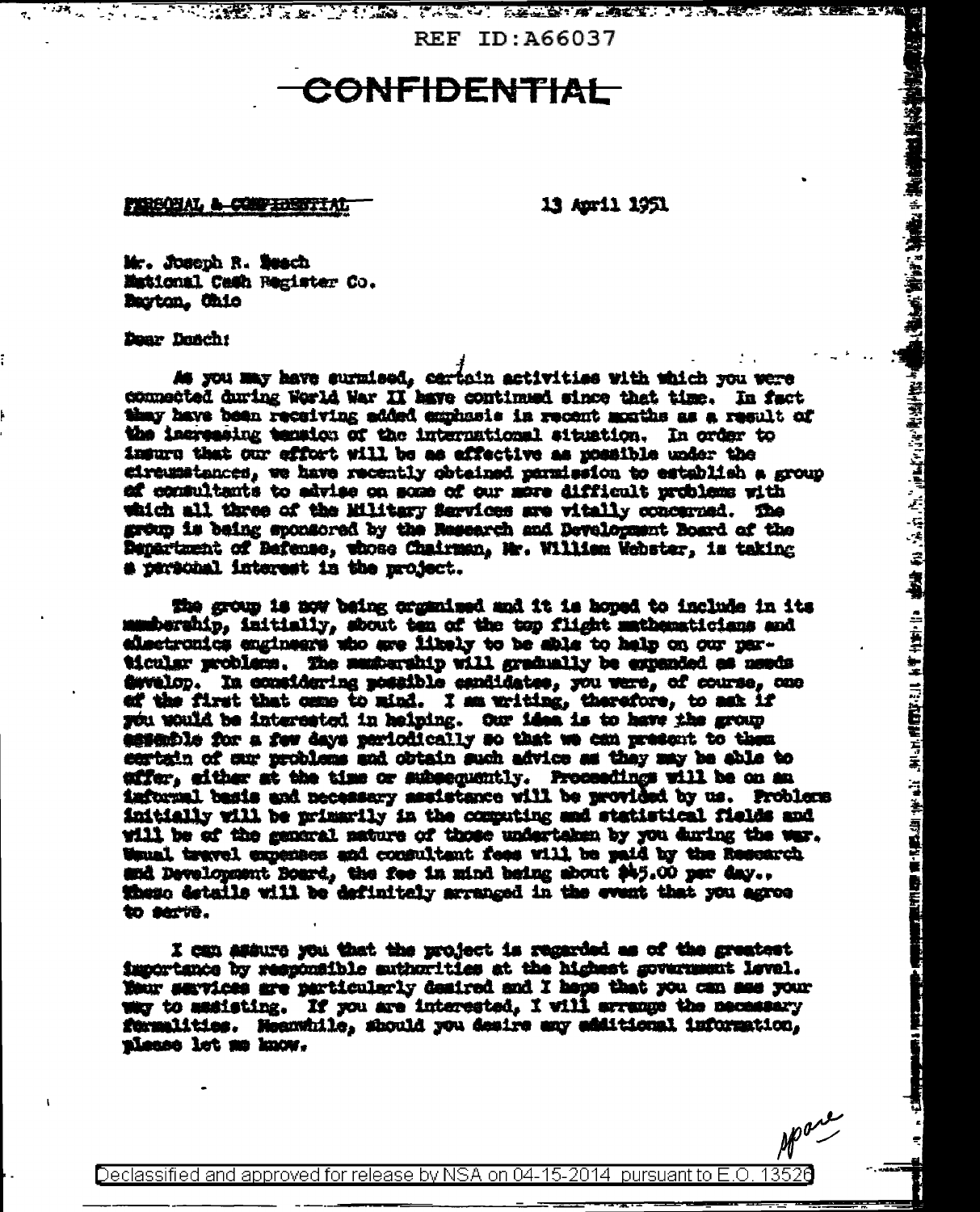**REF ID: A66037** 

2010年,我们的人们在我们的人们的人们的人,我们的人了,你们也能够一遍了。 医神经病 计自动方式 医神经病 医假动脉

## <del>CONFIDENTIAL</del>

PERSONAL A CONFIDENTIAL

13 April 1951

Mr. Joseph R. Beach Mational Cash Register Co. Barton, Chio

Dear Doach:

As you may have surmised, cartain activities with which you were connected during World War II have continued since that time. In fact thay have been receiving added emphasis in recent months as a result of the increasing tension of the international situation. In order to insure that our effort will be as effective as possible under the circumstances, we have recently obtained parmission to establish a group of consultants to advise on some of our more difficult problems with which all three of the Military Services are vitally concerned. The grow is being sponsored by the Research and Development Board of the Department of Befense, whose Chairman, Mr. William Webster, is taking a personal interest in the project.

The group is now being unganised and it is hoped to include in its manbership, initially, shout ten of the top flight mathematicians and electronics engineers who are likely to be shis to help on our particular problem. The membership will gradually be expanded as needs dwelop. In considering possible esnitestes, you were, of course, one ef the first that came to mind. I am writing, therefore, to set if you would be interested in helping. Our idea is to have the group essentie for a few days periodically so that we can present to them sertain of sur problems and obtain such advice as they may be able to effer, either at the time or subsequently. Proceedings will be on an informal basis and necessary assistance will be neovided by us. Problems initially will be primarily in the computing and statistical fields and will be of the general nature of those undertaken by you during the war. Wauni travel experies and consultant fees will be paid by the Resourch and Development Board, the fee in mind being about \$45.00 per day.. these details will be definitely arranged in the event that you agree to serve.

I can assure you that the project is regarded as of the greatest importance by responsible authorities at the highest government level. Your services are particularly desired and I happ that you can see your way to assisting. If you are interested, I will arrange the necessary formalities. Meanwhile, should you desire any additional information, please let me know.

她们的人们的心理。""你的人,你的人,你<mark>不能是</mark>不能的。""你的话,你的话,你们的话,你们的话,你的话都不是不是你的。""你的话,你们的话,你的话,你的话,你

Declassified and approved for release by NSA on 04-15-2014 pursuant to E.O. 13520